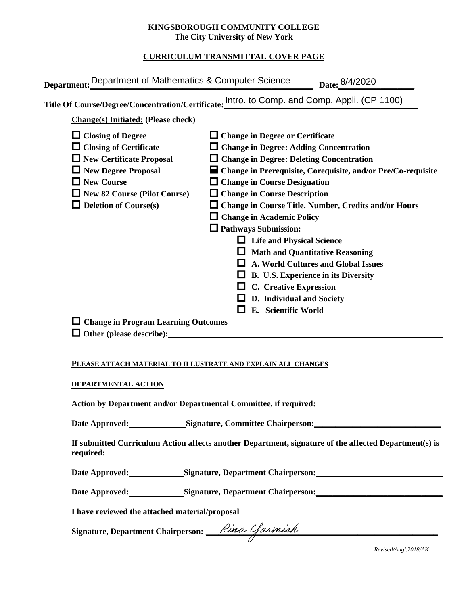## **KINGSBOROUGH COMMUNITY COLLEGE The City University of New York**

# **CURRICULUM TRANSMITTAL COVER PAGE**

| Department: Department of Mathematics & Computer Science                                                                                                                                                        | Date: 8/4/2020                                                                                                                                                                                                                                                                                                                                                                                                                                                                                                                                                                                                                                                                                    |
|-----------------------------------------------------------------------------------------------------------------------------------------------------------------------------------------------------------------|---------------------------------------------------------------------------------------------------------------------------------------------------------------------------------------------------------------------------------------------------------------------------------------------------------------------------------------------------------------------------------------------------------------------------------------------------------------------------------------------------------------------------------------------------------------------------------------------------------------------------------------------------------------------------------------------------|
|                                                                                                                                                                                                                 | Title Of Course/Degree/Concentration/Certificate: Intro. to Comp. and Comp. Appli. (CP 1100)                                                                                                                                                                                                                                                                                                                                                                                                                                                                                                                                                                                                      |
| <b>Change(s)</b> Initiated: (Please check)                                                                                                                                                                      |                                                                                                                                                                                                                                                                                                                                                                                                                                                                                                                                                                                                                                                                                                   |
| $\Box$ Closing of Degree<br>$\Box$ Closing of Certificate<br>$\Box$ New Certificate Proposal<br>New Degree Proposal<br>$\Box$ New Course<br>$\Box$ New 82 Course (Pilot Course)<br>$\Box$ Deletion of Course(s) | $\Box$ Change in Degree or Certificate<br>$\Box$ Change in Degree: Adding Concentration<br>$\Box$ Change in Degree: Deleting Concentration<br>$\blacksquare$ Change in Prerequisite, Corequisite, and/or Pre/Co-requisite<br>$\Box$ Change in Course Designation<br>$\Box$ Change in Course Description<br>$\Box$ Change in Course Title, Number, Credits and/or Hours<br>$\Box$ Change in Academic Policy<br>$\Box$ Pathways Submission:<br><b>Life and Physical Science</b><br><b>Math and Quantitative Reasoning</b><br><b>A. World Cultures and Global Issues</b><br>B. U.S. Experience in its Diversity<br><b>C.</b> Creative Expression<br>D. Individual and Society<br>E. Scientific World |
| $\Box$ Change in Program Learning Outcomes<br>$\Box$ Other (please describe):                                                                                                                                   |                                                                                                                                                                                                                                                                                                                                                                                                                                                                                                                                                                                                                                                                                                   |

### **PLEASE ATTACH MATERIAL TO ILLUSTRATE AND EXPLAIN ALL CHANGES**

### **DEPARTMENTAL ACTION**

**Action by Department and/or Departmental Committee, if required:**

Date Approved: Signature, Committee Chairperson:

**If submitted Curriculum Action affects another Department, signature of the affected Department(s) is required:**

Date Approved: Signature, Department Chairperson:

Date Approved: Signature, Department Chairperson: Network and Solven and Solven and Solven and Solven and Solven and Solven and Solven and Solven and Solven and Solven and Solven and Solven and Solven and Solven and Solven

**I have reviewed the attached material/proposal**

Signature, Department Chairperson: \_\_\_\_*Rina Ufarmiah* 

*Revised/Augl.2018/AK*